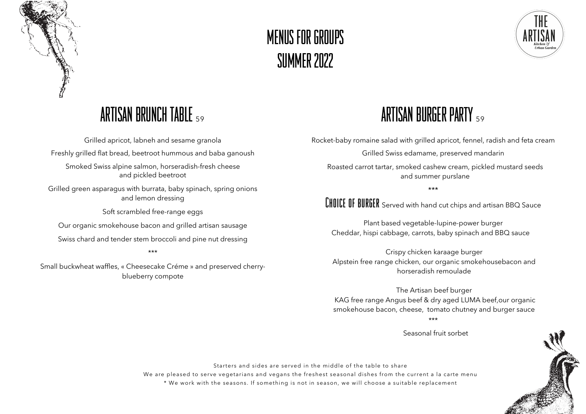

# MENUS FOR GROUPS SUMMER 2022



### ARTISAN BRUNCH TABLE <sup>59</sup>

Grilled apricot, labneh and sesame granola Freshly grilled flat bread, beetroot hummous and baba ganoush Smoked Swiss alpine salmon, horseradish-fresh cheese and pickled beetroot

Grilled green asparagus with burrata, baby spinach, spring onions and lemon dressing

Soft scrambled free-range eggs

Our organic smokehouse bacon and grilled artisan sausage

Swiss chard and tender stem broccoli and pine nut dressing

#### \*\*\*

Small buckwheat waffles, « Cheesecake Créme » and preserved cherryblueberry compote

## ARTISAN BURGER PARTY <sup>59</sup>

Rocket-baby romaine salad with grilled apricot, fennel, radish and feta cream

Grilled Swiss edamame, preserved mandarin

Roasted carrot tartar, smoked cashew cream, pickled mustard seeds and summer purslane

\*\*\*

**CHOICE OF BURGER** Served with hand cut chips and artisan BBQ Sauce

Plant based vegetable-lupine-power burger Cheddar, hispi cabbage, carrots, baby spinach and BBQ sauce

Crispy chicken karaage burger Alpstein free range chicken, our organic smokehousebacon and horseradish remoulade

The Artisan beef burger KAG free range Angus beef & dry aged LUMA beef,our organic smokehouse bacon, cheese, tomato chutney and burger sauce \*\*\*

Seasonal fruit sorbet



Starters and sides are served in the middle of the table to share

We are pleased to serve vegetarians and vegans the freshest seasonal dishes from the current a la carte menu \* We work with the seasons. If something is not in season, we will choose a suitable replacement